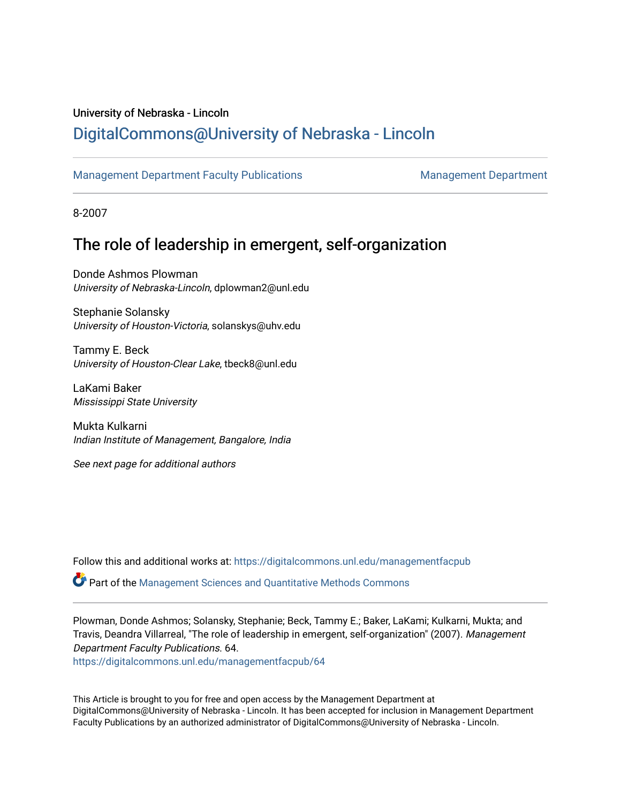# University of Nebraska - Lincoln [DigitalCommons@University of Nebraska - Lincoln](https://digitalcommons.unl.edu/)

# [Management Department Faculty Publications](https://digitalcommons.unl.edu/managementfacpub) Management Department

8-2007

# The role of leadership in emergent, self-organization

Donde Ashmos Plowman University of Nebraska-Lincoln, dplowman2@unl.edu

Stephanie Solansky University of Houston-Victoria, solanskys@uhv.edu

Tammy E. Beck University of Houston-Clear Lake, tbeck8@unl.edu

LaKami Baker Mississippi State University

Mukta Kulkarni Indian Institute of Management, Bangalore, India

See next page for additional authors

Follow this and additional works at: [https://digitalcommons.unl.edu/managementfacpub](https://digitalcommons.unl.edu/managementfacpub?utm_source=digitalcommons.unl.edu%2Fmanagementfacpub%2F64&utm_medium=PDF&utm_campaign=PDFCoverPages)

Part of the [Management Sciences and Quantitative Methods Commons](http://network.bepress.com/hgg/discipline/637?utm_source=digitalcommons.unl.edu%2Fmanagementfacpub%2F64&utm_medium=PDF&utm_campaign=PDFCoverPages)

Plowman, Donde Ashmos; Solansky, Stephanie; Beck, Tammy E.; Baker, LaKami; Kulkarni, Mukta; and Travis, Deandra Villarreal, "The role of leadership in emergent, self-organization" (2007). Management Department Faculty Publications. 64.

[https://digitalcommons.unl.edu/managementfacpub/64](https://digitalcommons.unl.edu/managementfacpub/64?utm_source=digitalcommons.unl.edu%2Fmanagementfacpub%2F64&utm_medium=PDF&utm_campaign=PDFCoverPages) 

This Article is brought to you for free and open access by the Management Department at DigitalCommons@University of Nebraska - Lincoln. It has been accepted for inclusion in Management Department Faculty Publications by an authorized administrator of DigitalCommons@University of Nebraska - Lincoln.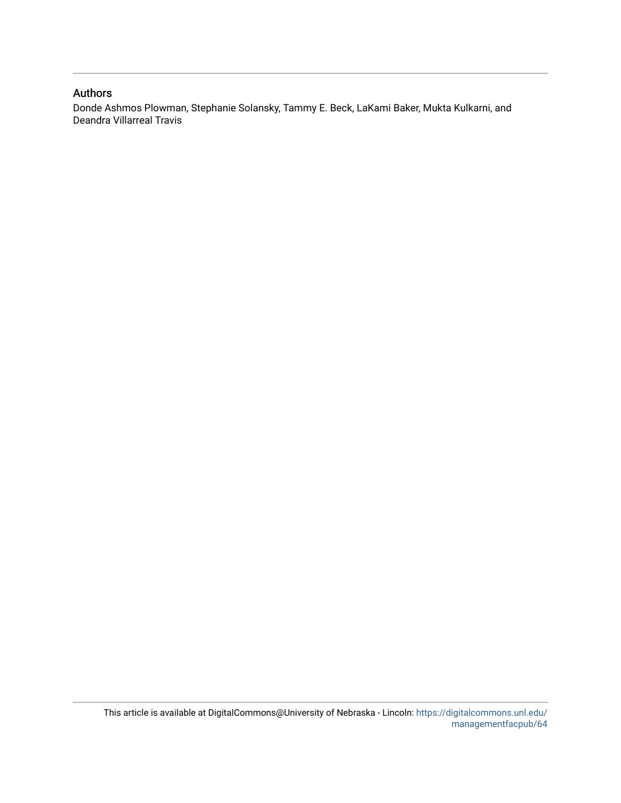# Authors

Donde Ashmos Plowman, Stephanie Solansky, Tammy E. Beck, LaKami Baker, Mukta Kulkarni, and Deandra Villarreal Travis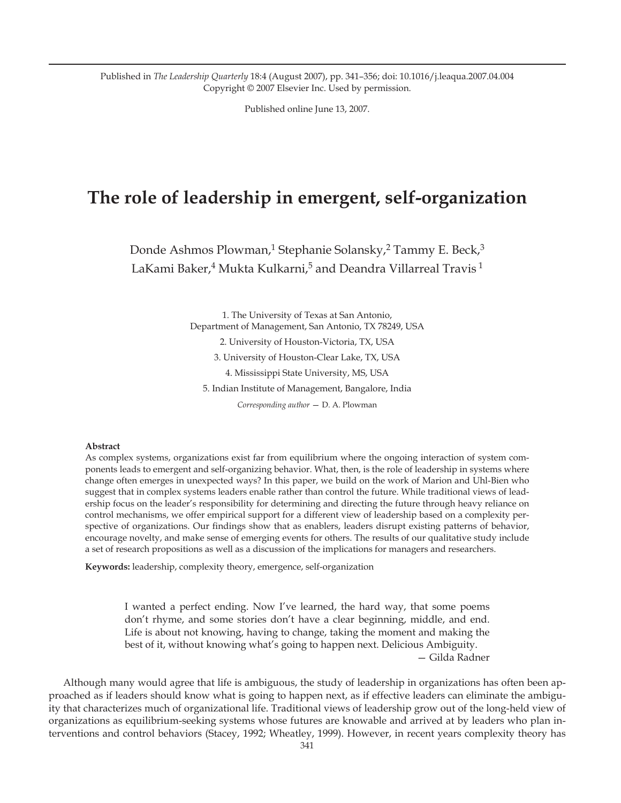Published in *The Leadership Quarterly* 18:4 (August 2007), pp. 341–356; doi: 10.1016/j.leaqua.2007.04.004 Copyright © 2007 Elsevier Inc. Used by permission.

Published online June 13, 2007.

# **The role of leadership in emergent, self-organization**

Donde Ashmos Plowman,<sup>1</sup> Stephanie Solansky,<sup>2</sup> Tammy E. Beck,<sup>3</sup> LaKami Baker,<sup>4</sup> Mukta Kulkarni,<sup>5</sup> and Deandra Villarreal Travis<sup>1</sup>

> 1. The University of Texas at San Antonio, Department of Management, San Antonio, TX 78249, USA 2. University of Houston-Victoria, TX, USA 3. University of Houston-Clear Lake, TX, USA 4. Mississippi State University, MS, USA 5. Indian Institute of Management, Bangalore, India *Corresponding author* — D. A. Plowman

#### **Abstract**

As complex systems, organizations exist far from equilibrium where the ongoing interaction of system components leads to emergent and self-organizing behavior. What, then, is the role of leadership in systems where change often emerges in unexpected ways? In this paper, we build on the work of Marion and Uhl-Bien who suggest that in complex systems leaders enable rather than control the future. While traditional views of leadership focus on the leader's responsibility for determining and directing the future through heavy reliance on control mechanisms, we offer empirical support for a different view of leadership based on a complexity perspective of organizations. Our findings show that as enablers, leaders disrupt existing patterns of behavior, encourage novelty, and make sense of emerging events for others. The results of our qualitative study include a set of research propositions as well as a discussion of the implications for managers and researchers.

**Keywords:** leadership, complexity theory, emergence, self-organization

I wanted a perfect ending. Now I've learned, the hard way, that some poems don't rhyme, and some stories don't have a clear beginning, middle, and end. Life is about not knowing, having to change, taking the moment and making the best of it, without knowing what's going to happen next. Delicious Ambiguity. — Gilda Radner

Although many would agree that life is ambiguous, the study of leadership in organizations has often been approached as if leaders should know what is going to happen next, as if effective leaders can eliminate the ambiguity that characterizes much of organizational life. Traditional views of leadership grow out of the long-held view of organizations as equilibrium-seeking systems whose futures are knowable and arrived at by leaders who plan interventions and control behaviors (Stacey, 1992; Wheatley, 1999). However, in recent years complexity theory has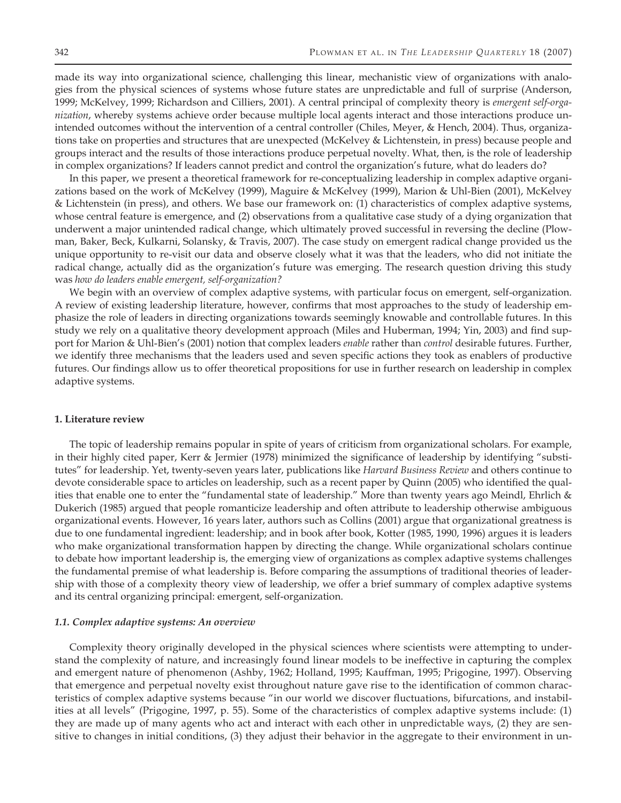made its way into organizational science, challenging this linear, mechanistic view of organizations with analogies from the physical sciences of systems whose future states are unpredictable and full of surprise (Anderson, 1999; McKelvey, 1999; Richardson and Cilliers, 2001). A central principal of complexity theory is *emergent self-organization*, whereby systems achieve order because multiple local agents interact and those interactions produce unintended outcomes without the intervention of a central controller (Chiles, Meyer, & Hench, 2004). Thus, organizations take on properties and structures that are unexpected (McKelvey & Lichtenstein, in press) because people and groups interact and the results of those interactions produce perpetual novelty. What, then, is the role of leadership in complex organizations? If leaders cannot predict and control the organization's future, what do leaders do?

In this paper, we present a theoretical framework for re-conceptualizing leadership in complex adaptive organizations based on the work of McKelvey (1999), Maguire & McKelvey (1999), Marion & Uhl-Bien (2001), McKelvey & Lichtenstein (in press), and others. We base our framework on: (1) characteristics of complex adaptive systems, whose central feature is emergence, and (2) observations from a qualitative case study of a dying organization that underwent a major unintended radical change, which ultimately proved successful in reversing the decline (Plowman, Baker, Beck, Kulkarni, Solansky, & Travis, 2007). The case study on emergent radical change provided us the unique opportunity to re-visit our data and observe closely what it was that the leaders, who did not initiate the radical change, actually did as the organization's future was emerging. The research question driving this study was *how do leaders enable emergent, self-organization?*

We begin with an overview of complex adaptive systems, with particular focus on emergent, self-organization. A review of existing leadership literature, however, confirms that most approaches to the study of leadership emphasize the role of leaders in directing organizations towards seemingly knowable and controllable futures. In this study we rely on a qualitative theory development approach (Miles and Huberman, 1994; Yin, 2003) and find support for Marion & Uhl-Bien's (2001) notion that complex leaders *enable* rather than *control* desirable futures. Further, we identify three mechanisms that the leaders used and seven specific actions they took as enablers of productive futures. Our findings allow us to offer theoretical propositions for use in further research on leadership in complex adaptive systems.

#### **1. Literature review**

The topic of leadership remains popular in spite of years of criticism from organizational scholars. For example, in their highly cited paper, Kerr & Jermier (1978) minimized the significance of leadership by identifying "substitutes" for leadership. Yet, twenty-seven years later, publications like *Harvard Business Review* and others continue to devote considerable space to articles on leadership, such as a recent paper by Quinn (2005) who identified the qualities that enable one to enter the "fundamental state of leadership." More than twenty years ago Meindl, Ehrlich & Dukerich (1985) argued that people romanticize leadership and often attribute to leadership otherwise ambiguous organizational events. However, 16 years later, authors such as Collins (2001) argue that organizational greatness is due to one fundamental ingredient: leadership; and in book after book, Kotter (1985, 1990, 1996) argues it is leaders who make organizational transformation happen by directing the change. While organizational scholars continue to debate how important leadership is, the emerging view of organizations as complex adaptive systems challenges the fundamental premise of what leadership is. Before comparing the assumptions of traditional theories of leadership with those of a complexity theory view of leadership, we offer a brief summary of complex adaptive systems and its central organizing principal: emergent, self-organization.

#### *1.1. Complex adaptive systems: An overview*

Complexity theory originally developed in the physical sciences where scientists were attempting to understand the complexity of nature, and increasingly found linear models to be ineffective in capturing the complex and emergent nature of phenomenon (Ashby, 1962; Holland, 1995; Kauffman, 1995; Prigogine, 1997). Observing that emergence and perpetual novelty exist throughout nature gave rise to the identification of common characteristics of complex adaptive systems because "in our world we discover fluctuations, bifurcations, and instabilities at all levels" (Prigogine, 1997, p. 55). Some of the characteristics of complex adaptive systems include: (1) they are made up of many agents who act and interact with each other in unpredictable ways, (2) they are sensitive to changes in initial conditions, (3) they adjust their behavior in the aggregate to their environment in un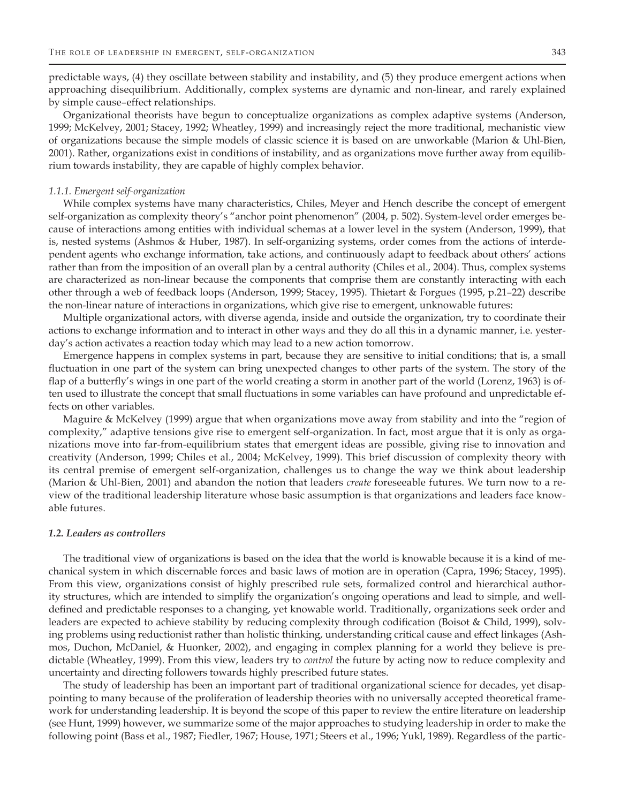predictable ways, (4) they oscillate between stability and instability, and (5) they produce emergent actions when approaching disequilibrium. Additionally, complex systems are dynamic and non-linear, and rarely explained by simple cause–effect relationships.

Organizational theorists have begun to conceptualize organizations as complex adaptive systems (Anderson, 1999; McKelvey, 2001; Stacey, 1992; Wheatley, 1999) and increasingly reject the more traditional, mechanistic view of organizations because the simple models of classic science it is based on are unworkable (Marion & Uhl-Bien, 2001). Rather, organizations exist in conditions of instability, and as organizations move further away from equilibrium towards instability, they are capable of highly complex behavior.

#### *1.1.1. Emergent self-organization*

While complex systems have many characteristics, Chiles, Meyer and Hench describe the concept of emergent self-organization as complexity theory's "anchor point phenomenon" (2004, p. 502). System-level order emerges because of interactions among entities with individual schemas at a lower level in the system (Anderson, 1999), that is, nested systems (Ashmos & Huber, 1987). In self-organizing systems, order comes from the actions of interdependent agents who exchange information, take actions, and continuously adapt to feedback about others' actions rather than from the imposition of an overall plan by a central authority (Chiles et al., 2004). Thus, complex systems are characterized as non-linear because the components that comprise them are constantly interacting with each other through a web of feedback loops (Anderson, 1999; Stacey, 1995). Thietart & Forgues (1995, p.21–22) describe the non-linear nature of interactions in organizations, which give rise to emergent, unknowable futures:

Multiple organizational actors, with diverse agenda, inside and outside the organization, try to coordinate their actions to exchange information and to interact in other ways and they do all this in a dynamic manner, i.e. yesterday's action activates a reaction today which may lead to a new action tomorrow.

Emergence happens in complex systems in part, because they are sensitive to initial conditions; that is, a small fluctuation in one part of the system can bring unexpected changes to other parts of the system. The story of the flap of a butterfly's wings in one part of the world creating a storm in another part of the world (Lorenz, 1963) is often used to illustrate the concept that small fluctuations in some variables can have profound and unpredictable effects on other variables.

Maguire & McKelvey (1999) argue that when organizations move away from stability and into the "region of complexity," adaptive tensions give rise to emergent self-organization. In fact, most argue that it is only as organizations move into far-from-equilibrium states that emergent ideas are possible, giving rise to innovation and creativity (Anderson, 1999; Chiles et al., 2004; McKelvey, 1999). This brief discussion of complexity theory with its central premise of emergent self-organization, challenges us to change the way we think about leadership (Marion & Uhl-Bien, 2001) and abandon the notion that leaders *create* foreseeable futures. We turn now to a review of the traditional leadership literature whose basic assumption is that organizations and leaders face knowable futures.

#### *1.2. Leaders as controllers*

The traditional view of organizations is based on the idea that the world is knowable because it is a kind of mechanical system in which discernable forces and basic laws of motion are in operation (Capra, 1996; Stacey, 1995). From this view, organizations consist of highly prescribed rule sets, formalized control and hierarchical authority structures, which are intended to simplify the organization's ongoing operations and lead to simple, and welldefined and predictable responses to a changing, yet knowable world. Traditionally, organizations seek order and leaders are expected to achieve stability by reducing complexity through codification (Boisot & Child, 1999), solving problems using reductionist rather than holistic thinking, understanding critical cause and effect linkages (Ashmos, Duchon, McDaniel, & Huonker, 2002), and engaging in complex planning for a world they believe is predictable (Wheatley, 1999). From this view, leaders try to *control* the future by acting now to reduce complexity and uncertainty and directing followers towards highly prescribed future states.

The study of leadership has been an important part of traditional organizational science for decades, yet disappointing to many because of the proliferation of leadership theories with no universally accepted theoretical framework for understanding leadership. It is beyond the scope of this paper to review the entire literature on leadership (see Hunt, 1999) however, we summarize some of the major approaches to studying leadership in order to make the following point (Bass et al., 1987; Fiedler, 1967; House, 1971; Steers et al., 1996; Yukl, 1989). Regardless of the partic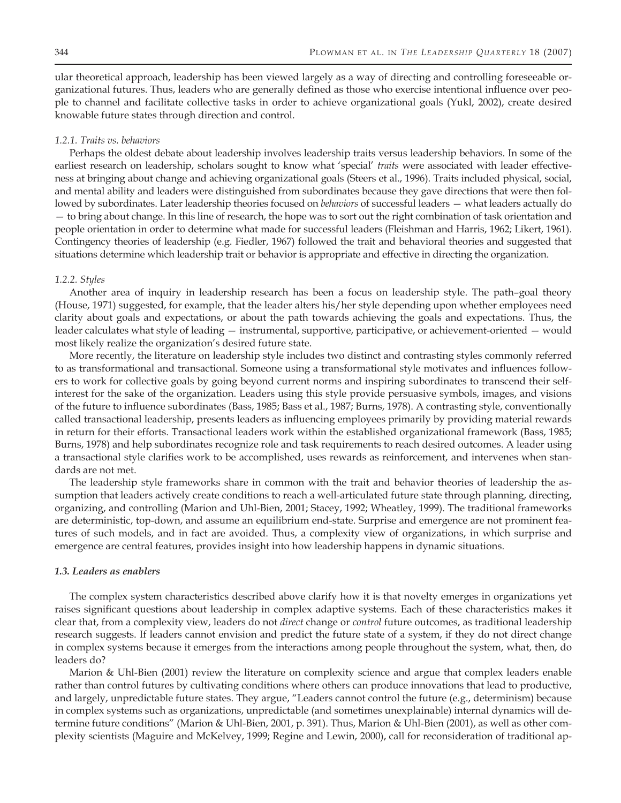ular theoretical approach, leadership has been viewed largely as a way of directing and controlling foreseeable organizational futures. Thus, leaders who are generally defined as those who exercise intentional influence over people to channel and facilitate collective tasks in order to achieve organizational goals (Yukl, 2002), create desired knowable future states through direction and control.

### *1.2.1. Traits vs. behaviors*

Perhaps the oldest debate about leadership involves leadership traits versus leadership behaviors. In some of the earliest research on leadership, scholars sought to know what 'special' *traits* were associated with leader effectiveness at bringing about change and achieving organizational goals (Steers et al., 1996). Traits included physical, social, and mental ability and leaders were distinguished from subordinates because they gave directions that were then followed by subordinates. Later leadership theories focused on *behaviors* of successful leaders — what leaders actually do — to bring about change. In this line of research, the hope was to sort out the right combination of task orientation and people orientation in order to determine what made for successful leaders (Fleishman and Harris, 1962; Likert, 1961). Contingency theories of leadership (e.g. Fiedler, 1967) followed the trait and behavioral theories and suggested that situations determine which leadership trait or behavior is appropriate and effective in directing the organization.

#### *1.2.2. Styles*

Another area of inquiry in leadership research has been a focus on leadership style. The path–goal theory (House, 1971) suggested, for example, that the leader alters his/her style depending upon whether employees need clarity about goals and expectations, or about the path towards achieving the goals and expectations. Thus, the leader calculates what style of leading — instrumental, supportive, participative, or achievement-oriented — would most likely realize the organization's desired future state.

More recently, the literature on leadership style includes two distinct and contrasting styles commonly referred to as transformational and transactional. Someone using a transformational style motivates and influences followers to work for collective goals by going beyond current norms and inspiring subordinates to transcend their selfinterest for the sake of the organization. Leaders using this style provide persuasive symbols, images, and visions of the future to influence subordinates (Bass, 1985; Bass et al., 1987; Burns, 1978). A contrasting style, conventionally called transactional leadership, presents leaders as influencing employees primarily by providing material rewards in return for their efforts. Transactional leaders work within the established organizational framework (Bass, 1985; Burns, 1978) and help subordinates recognize role and task requirements to reach desired outcomes. A leader using a transactional style clarifies work to be accomplished, uses rewards as reinforcement, and intervenes when standards are not met.

The leadership style frameworks share in common with the trait and behavior theories of leadership the assumption that leaders actively create conditions to reach a well-articulated future state through planning, directing, organizing, and controlling (Marion and Uhl-Bien, 2001; Stacey, 1992; Wheatley, 1999). The traditional frameworks are deterministic, top-down, and assume an equilibrium end-state. Surprise and emergence are not prominent features of such models, and in fact are avoided. Thus, a complexity view of organizations, in which surprise and emergence are central features, provides insight into how leadership happens in dynamic situations.

#### *1.3. Leaders as enablers*

The complex system characteristics described above clarify how it is that novelty emerges in organizations yet raises significant questions about leadership in complex adaptive systems. Each of these characteristics makes it clear that, from a complexity view, leaders do not *direct* change or *control* future outcomes, as traditional leadership research suggests. If leaders cannot envision and predict the future state of a system, if they do not direct change in complex systems because it emerges from the interactions among people throughout the system, what, then, do leaders do?

Marion & Uhl-Bien (2001) review the literature on complexity science and argue that complex leaders enable rather than control futures by cultivating conditions where others can produce innovations that lead to productive, and largely, unpredictable future states. They argue, "Leaders cannot control the future (e.g., determinism) because in complex systems such as organizations, unpredictable (and sometimes unexplainable) internal dynamics will determine future conditions" (Marion & Uhl-Bien, 2001, p. 391). Thus, Marion & Uhl-Bien (2001), as well as other complexity scientists (Maguire and McKelvey, 1999; Regine and Lewin, 2000), call for reconsideration of traditional ap-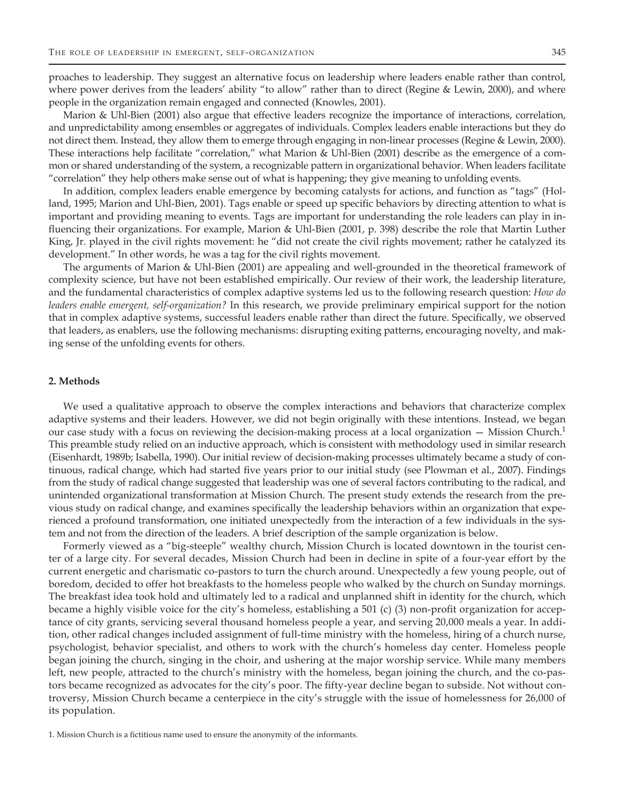proaches to leadership. They suggest an alternative focus on leadership where leaders enable rather than control, where power derives from the leaders' ability "to allow" rather than to direct (Regine & Lewin, 2000), and where people in the organization remain engaged and connected (Knowles, 2001).

Marion & Uhl-Bien (2001) also argue that effective leaders recognize the importance of interactions, correlation, and unpredictability among ensembles or aggregates of individuals. Complex leaders enable interactions but they do not direct them. Instead, they allow them to emerge through engaging in non-linear processes (Regine & Lewin, 2000). These interactions help facilitate "correlation," what Marion & Uhl-Bien (2001) describe as the emergence of a common or shared understanding of the system, a recognizable pattern in organizational behavior. When leaders facilitate "correlation" they help others make sense out of what is happening; they give meaning to unfolding events.

In addition, complex leaders enable emergence by becoming catalysts for actions, and function as "tags" (Holland, 1995; Marion and Uhl-Bien, 2001). Tags enable or speed up specific behaviors by directing attention to what is important and providing meaning to events. Tags are important for understanding the role leaders can play in influencing their organizations. For example, Marion & Uhl-Bien (2001, p. 398) describe the role that Martin Luther King, Jr. played in the civil rights movement: he "did not create the civil rights movement; rather he catalyzed its development." In other words, he was a tag for the civil rights movement.

The arguments of Marion & Uhl-Bien (2001) are appealing and well-grounded in the theoretical framework of complexity science, but have not been established empirically. Our review of their work, the leadership literature, and the fundamental characteristics of complex adaptive systems led us to the following research question: *How do leaders enable emergent, self-organization?* In this research, we provide preliminary empirical support for the notion that in complex adaptive systems, successful leaders enable rather than direct the future. Specifically, we observed that leaders, as enablers, use the following mechanisms: disrupting exiting patterns, encouraging novelty, and making sense of the unfolding events for others.

#### **2. Methods**

We used a qualitative approach to observe the complex interactions and behaviors that characterize complex adaptive systems and their leaders. However, we did not begin originally with these intentions. Instead, we began our case study with a focus on reviewing the decision-making process at a local organization - Mission Church.<sup>1</sup> This preamble study relied on an inductive approach, which is consistent with methodology used in similar research (Eisenhardt, 1989b; Isabella, 1990). Our initial review of decision-making processes ultimately became a study of continuous, radical change, which had started five years prior to our initial study (see Plowman et al., 2007). Findings from the study of radical change suggested that leadership was one of several factors contributing to the radical, and unintended organizational transformation at Mission Church. The present study extends the research from the previous study on radical change, and examines specifically the leadership behaviors within an organization that experienced a profound transformation, one initiated unexpectedly from the interaction of a few individuals in the system and not from the direction of the leaders. A brief description of the sample organization is below.

Formerly viewed as a "big-steeple" wealthy church, Mission Church is located downtown in the tourist center of a large city. For several decades, Mission Church had been in decline in spite of a four-year effort by the current energetic and charismatic co-pastors to turn the church around. Unexpectedly a few young people, out of boredom, decided to offer hot breakfasts to the homeless people who walked by the church on Sunday mornings. The breakfast idea took hold and ultimately led to a radical and unplanned shift in identity for the church, which became a highly visible voice for the city's homeless, establishing a 501 (c) (3) non-profit organization for acceptance of city grants, servicing several thousand homeless people a year, and serving 20,000 meals a year. In addition, other radical changes included assignment of full-time ministry with the homeless, hiring of a church nurse, psychologist, behavior specialist, and others to work with the church's homeless day center. Homeless people began joining the church, singing in the choir, and ushering at the major worship service. While many members left, new people, attracted to the church's ministry with the homeless, began joining the church, and the co-pastors became recognized as advocates for the city's poor. The fifty-year decline began to subside. Not without controversy, Mission Church became a centerpiece in the city's struggle with the issue of homelessness for 26,000 of its population.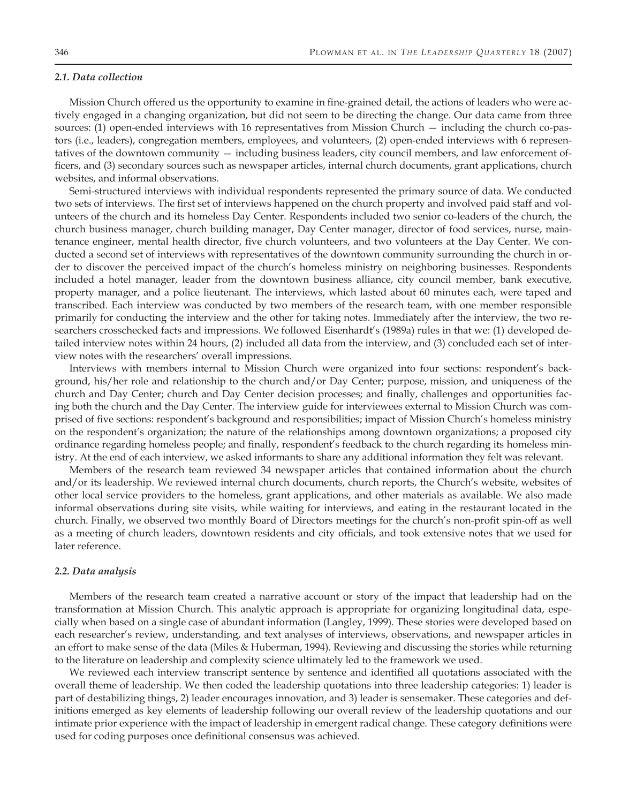# *2.1. Data collection*

Mission Church offered us the opportunity to examine in fine-grained detail, the actions of leaders who were actively engaged in a changing organization, but did not seem to be directing the change. Our data came from three sources: (1) open-ended interviews with 16 representatives from Mission Church — including the church co-pastors (i.e., leaders), congregation members, employees, and volunteers, (2) open-ended interviews with 6 representatives of the downtown community — including business leaders, city council members, and law enforcement officers, and (3) secondary sources such as newspaper articles, internal church documents, grant applications, church websites, and informal observations.

Semi-structured interviews with individual respondents represented the primary source of data. We conducted two sets of interviews. The first set of interviews happened on the church property and involved paid staff and volunteers of the church and its homeless Day Center. Respondents included two senior co-leaders of the church, the church business manager, church building manager, Day Center manager, director of food services, nurse, maintenance engineer, mental health director, five church volunteers, and two volunteers at the Day Center. We conducted a second set of interviews with representatives of the downtown community surrounding the church in order to discover the perceived impact of the church's homeless ministry on neighboring businesses. Respondents included a hotel manager, leader from the downtown business alliance, city council member, bank executive, property manager, and a police lieutenant. The interviews, which lasted about 60 minutes each, were taped and transcribed. Each interview was conducted by two members of the research team, with one member responsible primarily for conducting the interview and the other for taking notes. Immediately after the interview, the two researchers crosschecked facts and impressions. We followed Eisenhardt's (1989a) rules in that we: (1) developed detailed interview notes within 24 hours, (2) included all data from the interview, and (3) concluded each set of interview notes with the researchers' overall impressions.

Interviews with members internal to Mission Church were organized into four sections: respondent's background, his/her role and relationship to the church and/or Day Center; purpose, mission, and uniqueness of the church and Day Center; church and Day Center decision processes; and finally, challenges and opportunities facing both the church and the Day Center. The interview guide for interviewees external to Mission Church was comprised of five sections: respondent's background and responsibilities; impact of Mission Church's homeless ministry on the respondent's organization; the nature of the relationships among downtown organizations; a proposed city ordinance regarding homeless people; and finally, respondent's feedback to the church regarding its homeless ministry. At the end of each interview, we asked informants to share any additional information they felt was relevant.

Members of the research team reviewed 34 newspaper articles that contained information about the church and/or its leadership. We reviewed internal church documents, church reports, the Church's website, websites of other local service providers to the homeless, grant applications, and other materials as available. We also made informal observations during site visits, while waiting for interviews, and eating in the restaurant located in the church. Finally, we observed two monthly Board of Directors meetings for the church's non-profit spin-off as well as a meeting of church leaders, downtown residents and city officials, and took extensive notes that we used for later reference.

#### *2.2. Data analysis*

Members of the research team created a narrative account or story of the impact that leadership had on the transformation at Mission Church. This analytic approach is appropriate for organizing longitudinal data, especially when based on a single case of abundant information (Langley, 1999). These stories were developed based on each researcher's review, understanding, and text analyses of interviews, observations, and newspaper articles in an effort to make sense of the data (Miles & Huberman, 1994). Reviewing and discussing the stories while returning to the literature on leadership and complexity science ultimately led to the framework we used.

We reviewed each interview transcript sentence by sentence and identified all quotations associated with the overall theme of leadership. We then coded the leadership quotations into three leadership categories: 1) leader is part of destabilizing things, 2) leader encourages innovation, and 3) leader is sensemaker. These categories and definitions emerged as key elements of leadership following our overall review of the leadership quotations and our intimate prior experience with the impact of leadership in emergent radical change. These category definitions were used for coding purposes once definitional consensus was achieved.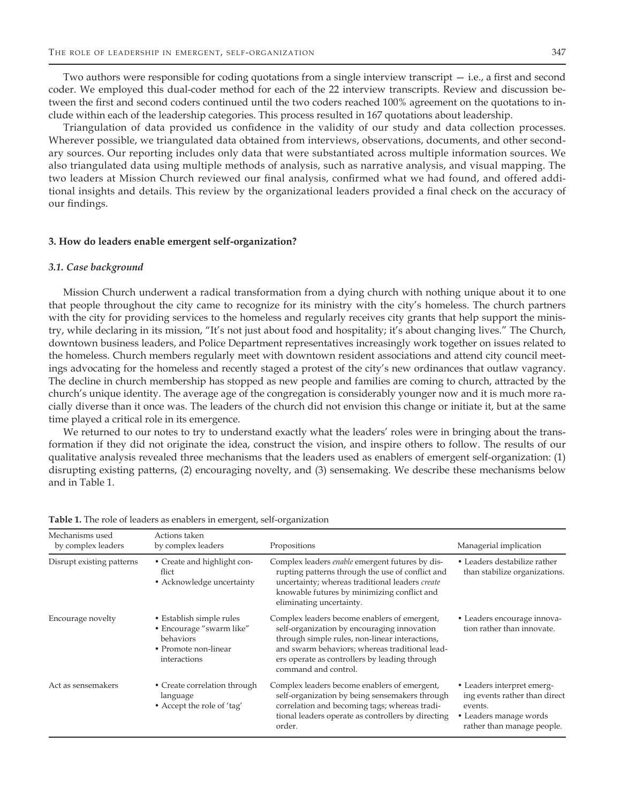Two authors were responsible for coding quotations from a single interview transcript — i.e., a first and second coder. We employed this dual-coder method for each of the 22 interview transcripts. Review and discussion between the first and second coders continued until the two coders reached 100% agreement on the quotations to include within each of the leadership categories. This process resulted in 167 quotations about leadership.

Triangulation of data provided us confidence in the validity of our study and data collection processes. Wherever possible, we triangulated data obtained from interviews, observations, documents, and other secondary sources. Our reporting includes only data that were substantiated across multiple information sources. We also triangulated data using multiple methods of analysis, such as narrative analysis, and visual mapping. The two leaders at Mission Church reviewed our final analysis, confirmed what we had found, and offered additional insights and details. This review by the organizational leaders provided a final check on the accuracy of our findings.

#### **3. How do leaders enable emergent self-organization?**

# *3.1. Case background*

Mission Church underwent a radical transformation from a dying church with nothing unique about it to one that people throughout the city came to recognize for its ministry with the city's homeless. The church partners with the city for providing services to the homeless and regularly receives city grants that help support the ministry, while declaring in its mission, "It's not just about food and hospitality; it's about changing lives." The Church, downtown business leaders, and Police Department representatives increasingly work together on issues related to the homeless. Church members regularly meet with downtown resident associations and attend city council meetings advocating for the homeless and recently staged a protest of the city's new ordinances that outlaw vagrancy. The decline in church membership has stopped as new people and families are coming to church, attracted by the church's unique identity. The average age of the congregation is considerably younger now and it is much more racially diverse than it once was. The leaders of the church did not envision this change or initiate it, but at the same time played a critical role in its emergence.

We returned to our notes to try to understand exactly what the leaders' roles were in bringing about the transformation if they did not originate the idea, construct the vision, and inspire others to follow. The results of our qualitative analysis revealed three mechanisms that the leaders used as enablers of emergent self-organization: (1) disrupting existing patterns, (2) encouraging novelty, and (3) sensemaking. We describe these mechanisms below and in Table 1.

| Mechanisms used<br>by complex leaders | Actions taken<br>by complex leaders                                                                       | Propositions                                                                                                                                                                                                                                                             | Managerial implication                                                                                                         |
|---------------------------------------|-----------------------------------------------------------------------------------------------------------|--------------------------------------------------------------------------------------------------------------------------------------------------------------------------------------------------------------------------------------------------------------------------|--------------------------------------------------------------------------------------------------------------------------------|
| Disrupt existing patterns             | • Create and highlight con-<br>flict<br>• Acknowledge uncertainty                                         | Complex leaders enable emergent futures by dis-<br>rupting patterns through the use of conflict and<br>uncertainty; whereas traditional leaders create<br>knowable futures by minimizing conflict and<br>eliminating uncertainty.                                        | • Leaders destabilize rather<br>than stabilize organizations.                                                                  |
| Encourage novelty                     | • Establish simple rules<br>• Encourage "swarm like"<br>behaviors<br>• Promote non-linear<br>interactions | Complex leaders become enablers of emergent,<br>self-organization by encouraging innovation<br>through simple rules, non-linear interactions,<br>and swarm behaviors; whereas traditional lead-<br>ers operate as controllers by leading through<br>command and control. | • Leaders encourage innova-<br>tion rather than innovate.                                                                      |
| Act as sensemakers                    | • Create correlation through<br>language<br>• Accept the role of 'tag'                                    | Complex leaders become enablers of emergent,<br>self-organization by being sensemakers through<br>correlation and becoming tags; whereas tradi-<br>tional leaders operate as controllers by directing<br>order.                                                          | • Leaders interpret emerg-<br>ing events rather than direct<br>events.<br>• Leaders manage words<br>rather than manage people. |

**Table 1.** The role of leaders as enablers in emergent, self-organization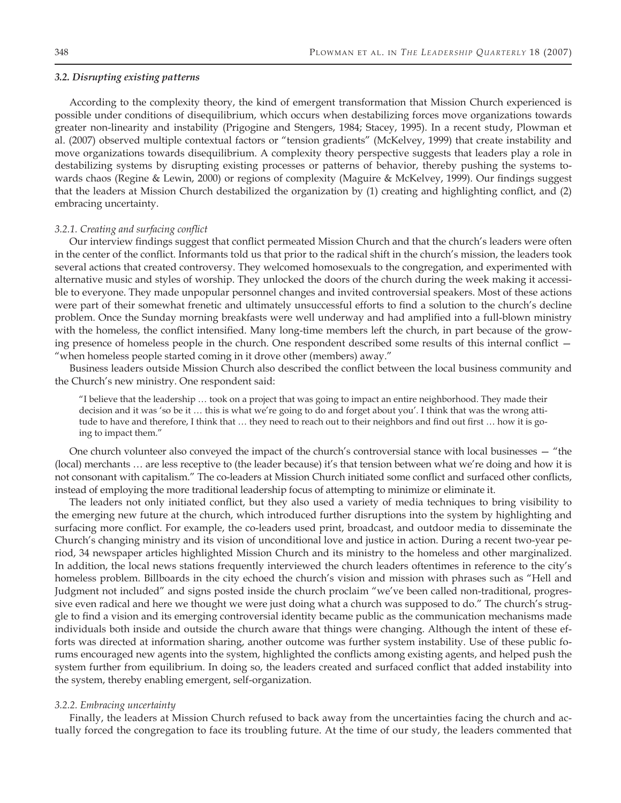#### *3.2. Disrupting existing patterns*

According to the complexity theory, the kind of emergent transformation that Mission Church experienced is possible under conditions of disequilibrium, which occurs when destabilizing forces move organizations towards greater non-linearity and instability (Prigogine and Stengers, 1984; Stacey, 1995). In a recent study, Plowman et al. (2007) observed multiple contextual factors or "tension gradients" (McKelvey, 1999) that create instability and move organizations towards disequilibrium. A complexity theory perspective suggests that leaders play a role in destabilizing systems by disrupting existing processes or patterns of behavior, thereby pushing the systems towards chaos (Regine & Lewin, 2000) or regions of complexity (Maguire & McKelvey, 1999). Our findings suggest that the leaders at Mission Church destabilized the organization by (1) creating and highlighting conflict, and (2) embracing uncertainty.

#### *3.2.1. Creating and surfacing conflict*

Our interview findings suggest that conflict permeated Mission Church and that the church's leaders were often in the center of the conflict. Informants told us that prior to the radical shift in the church's mission, the leaders took several actions that created controversy. They welcomed homosexuals to the congregation, and experimented with alternative music and styles of worship. They unlocked the doors of the church during the week making it accessible to everyone. They made unpopular personnel changes and invited controversial speakers. Most of these actions were part of their somewhat frenetic and ultimately unsuccessful efforts to find a solution to the church's decline problem. Once the Sunday morning breakfasts were well underway and had amplified into a full-blown ministry with the homeless, the conflict intensified. Many long-time members left the church, in part because of the growing presence of homeless people in the church. One respondent described some results of this internal conflict — "when homeless people started coming in it drove other (members) away."

Business leaders outside Mission Church also described the conflict between the local business community and the Church's new ministry. One respondent said:

"I believe that the leadership … took on a project that was going to impact an entire neighborhood. They made their decision and it was 'so be it … this is what we're going to do and forget about you'. I think that was the wrong attitude to have and therefore, I think that … they need to reach out to their neighbors and find out first … how it is going to impact them."

One church volunteer also conveyed the impact of the church's controversial stance with local businesses — "the (local) merchants … are less receptive to (the leader because) it's that tension between what we're doing and how it is not consonant with capitalism." The co-leaders at Mission Church initiated some conflict and surfaced other conflicts, instead of employing the more traditional leadership focus of attempting to minimize or eliminate it.

The leaders not only initiated conflict, but they also used a variety of media techniques to bring visibility to the emerging new future at the church, which introduced further disruptions into the system by highlighting and surfacing more conflict. For example, the co-leaders used print, broadcast, and outdoor media to disseminate the Church's changing ministry and its vision of unconditional love and justice in action. During a recent two-year period, 34 newspaper articles highlighted Mission Church and its ministry to the homeless and other marginalized. In addition, the local news stations frequently interviewed the church leaders oftentimes in reference to the city's homeless problem. Billboards in the city echoed the church's vision and mission with phrases such as "Hell and Judgment not included" and signs posted inside the church proclaim "we've been called non-traditional, progressive even radical and here we thought we were just doing what a church was supposed to do." The church's struggle to find a vision and its emerging controversial identity became public as the communication mechanisms made individuals both inside and outside the church aware that things were changing. Although the intent of these efforts was directed at information sharing, another outcome was further system instability. Use of these public forums encouraged new agents into the system, highlighted the conflicts among existing agents, and helped push the system further from equilibrium. In doing so, the leaders created and surfaced conflict that added instability into the system, thereby enabling emergent, self-organization.

#### *3.2.2. Embracing uncertainty*

Finally, the leaders at Mission Church refused to back away from the uncertainties facing the church and actually forced the congregation to face its troubling future. At the time of our study, the leaders commented that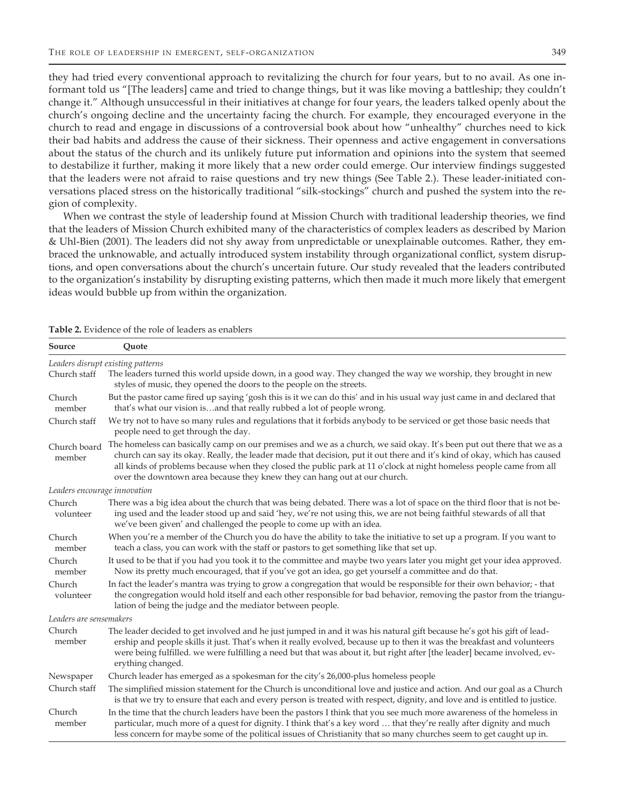they had tried every conventional approach to revitalizing the church for four years, but to no avail. As one informant told us "[The leaders] came and tried to change things, but it was like moving a battleship; they couldn't change it." Although unsuccessful in their initiatives at change for four years, the leaders talked openly about the church's ongoing decline and the uncertainty facing the church. For example, they encouraged everyone in the church to read and engage in discussions of a controversial book about how "unhealthy" churches need to kick their bad habits and address the cause of their sickness. Their openness and active engagement in conversations about the status of the church and its unlikely future put information and opinions into the system that seemed to destabilize it further, making it more likely that a new order could emerge. Our interview findings suggested that the leaders were not afraid to raise questions and try new things (See Table 2.). These leader-initiated conversations placed stress on the historically traditional "silk-stockings" church and pushed the system into the region of complexity.

When we contrast the style of leadership found at Mission Church with traditional leadership theories, we find that the leaders of Mission Church exhibited many of the characteristics of complex leaders as described by Marion & Uhl-Bien (2001). The leaders did not shy away from unpredictable or unexplainable outcomes. Rather, they embraced the unknowable, and actually introduced system instability through organizational conflict, system disruptions, and open conversations about the church's uncertain future. Our study revealed that the leaders contributed to the organization's instability by disrupting existing patterns, which then made it much more likely that emergent ideas would bubble up from within the organization.

|                              | <b>Table 2.</b> EVIDENCE OF THE TOIL OF REQUEIS AS ENABLELS                                                                                                                                                                                                                                                                                                                                                                                            |  |  |
|------------------------------|--------------------------------------------------------------------------------------------------------------------------------------------------------------------------------------------------------------------------------------------------------------------------------------------------------------------------------------------------------------------------------------------------------------------------------------------------------|--|--|
| Source                       | Ouote                                                                                                                                                                                                                                                                                                                                                                                                                                                  |  |  |
|                              | Leaders disrupt existing patterns                                                                                                                                                                                                                                                                                                                                                                                                                      |  |  |
| Church staff                 | The leaders turned this world upside down, in a good way. They changed the way we worship, they brought in new<br>styles of music, they opened the doors to the people on the streets.                                                                                                                                                                                                                                                                 |  |  |
| Church<br>member             | But the pastor came fired up saying 'gosh this is it we can do this' and in his usual way just came in and declared that<br>that's what our vision isand that really rubbed a lot of people wrong.                                                                                                                                                                                                                                                     |  |  |
| Church staff                 | We try not to have so many rules and regulations that it forbids anybody to be serviced or get those basic needs that<br>people need to get through the day.                                                                                                                                                                                                                                                                                           |  |  |
| Church board<br>member       | The homeless can basically camp on our premises and we as a church, we said okay. It's been put out there that we as a<br>church can say its okay. Really, the leader made that decision, put it out there and it's kind of okay, which has caused<br>all kinds of problems because when they closed the public park at 11 o'clock at night homeless people came from all<br>over the downtown area because they knew they can hang out at our church. |  |  |
| Leaders encourage innovation |                                                                                                                                                                                                                                                                                                                                                                                                                                                        |  |  |
| Church<br>volunteer          | There was a big idea about the church that was being debated. There was a lot of space on the third floor that is not be-<br>ing used and the leader stood up and said 'hey, we're not using this, we are not being faithful stewards of all that<br>we've been given' and challenged the people to come up with an idea.                                                                                                                              |  |  |
| Church<br>member             | When you're a member of the Church you do have the ability to take the initiative to set up a program. If you want to<br>teach a class, you can work with the staff or pastors to get something like that set up.                                                                                                                                                                                                                                      |  |  |
| Church<br>member             | It used to be that if you had you took it to the committee and maybe two years later you might get your idea approved.<br>Now its pretty much encouraged, that if you've got an idea, go get yourself a committee and do that.                                                                                                                                                                                                                         |  |  |
| Church<br>volunteer          | In fact the leader's mantra was trying to grow a congregation that would be responsible for their own behavior; - that<br>the congregation would hold itself and each other responsible for bad behavior, removing the pastor from the triangu-<br>lation of being the judge and the mediator between people.                                                                                                                                          |  |  |
| Leaders are sensemakers      |                                                                                                                                                                                                                                                                                                                                                                                                                                                        |  |  |
| Church<br>member             | The leader decided to get involved and he just jumped in and it was his natural gift because he's got his gift of lead-<br>ership and people skills it just. That's when it really evolved, because up to then it was the breakfast and volunteers<br>were being fulfilled. we were fulfilling a need but that was about it, but right after [the leader] became involved, ev-<br>erything changed.                                                    |  |  |
| Newspaper                    | Church leader has emerged as a spokesman for the city's 26,000-plus homeless people                                                                                                                                                                                                                                                                                                                                                                    |  |  |
| Church staff                 | The simplified mission statement for the Church is unconditional love and justice and action. And our goal as a Church<br>is that we try to ensure that each and every person is treated with respect, dignity, and love and is entitled to justice.                                                                                                                                                                                                   |  |  |
| Church<br>member             | In the time that the church leaders have been the pastors I think that you see much more awareness of the homeless in<br>particular, much more of a quest for dignity. I think that's a key word  that they're really after dignity and much<br>less concern for maybe some of the political issues of Christianity that so many churches seem to get caught up in.                                                                                    |  |  |

**Table 2.** Evidence of the role of leaders as enablers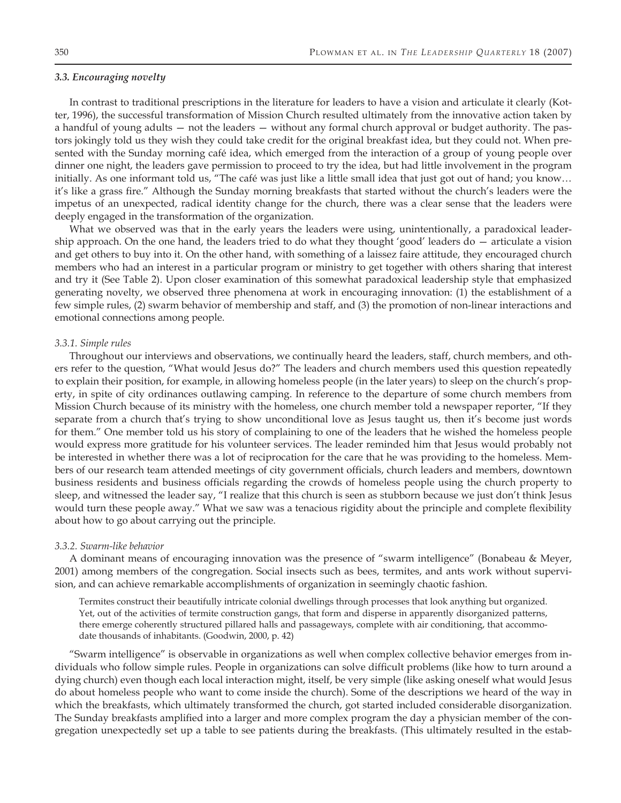#### *3.3. Encouraging novelty*

In contrast to traditional prescriptions in the literature for leaders to have a vision and articulate it clearly (Kotter, 1996), the successful transformation of Mission Church resulted ultimately from the innovative action taken by a handful of young adults — not the leaders — without any formal church approval or budget authority. The pastors jokingly told us they wish they could take credit for the original breakfast idea, but they could not. When presented with the Sunday morning café idea, which emerged from the interaction of a group of young people over dinner one night, the leaders gave permission to proceed to try the idea, but had little involvement in the program initially. As one informant told us, "The café was just like a little small idea that just got out of hand; you know… it's like a grass fire." Although the Sunday morning breakfasts that started without the church's leaders were the impetus of an unexpected, radical identity change for the church, there was a clear sense that the leaders were deeply engaged in the transformation of the organization.

What we observed was that in the early years the leaders were using, unintentionally, a paradoxical leadership approach. On the one hand, the leaders tried to do what they thought 'good' leaders do — articulate a vision and get others to buy into it. On the other hand, with something of a laissez faire attitude, they encouraged church members who had an interest in a particular program or ministry to get together with others sharing that interest and try it (See Table 2). Upon closer examination of this somewhat paradoxical leadership style that emphasized generating novelty, we observed three phenomena at work in encouraging innovation: (1) the establishment of a few simple rules, (2) swarm behavior of membership and staff, and (3) the promotion of non-linear interactions and emotional connections among people.

#### *3.3.1. Simple rules*

Throughout our interviews and observations, we continually heard the leaders, staff, church members, and others refer to the question, "What would Jesus do?" The leaders and church members used this question repeatedly to explain their position, for example, in allowing homeless people (in the later years) to sleep on the church's property, in spite of city ordinances outlawing camping. In reference to the departure of some church members from Mission Church because of its ministry with the homeless, one church member told a newspaper reporter, "If they separate from a church that's trying to show unconditional love as Jesus taught us, then it's become just words for them." One member told us his story of complaining to one of the leaders that he wished the homeless people would express more gratitude for his volunteer services. The leader reminded him that Jesus would probably not be interested in whether there was a lot of reciprocation for the care that he was providing to the homeless. Members of our research team attended meetings of city government officials, church leaders and members, downtown business residents and business officials regarding the crowds of homeless people using the church property to sleep, and witnessed the leader say, "I realize that this church is seen as stubborn because we just don't think Jesus would turn these people away." What we saw was a tenacious rigidity about the principle and complete flexibility about how to go about carrying out the principle.

#### *3.3.2. Swarm-like behavior*

A dominant means of encouraging innovation was the presence of "swarm intelligence" (Bonabeau & Meyer, 2001) among members of the congregation. Social insects such as bees, termites, and ants work without supervision, and can achieve remarkable accomplishments of organization in seemingly chaotic fashion.

Termites construct their beautifully intricate colonial dwellings through processes that look anything but organized. Yet, out of the activities of termite construction gangs, that form and disperse in apparently disorganized patterns, there emerge coherently structured pillared halls and passageways, complete with air conditioning, that accommodate thousands of inhabitants. (Goodwin, 2000, p. 42)

"Swarm intelligence" is observable in organizations as well when complex collective behavior emerges from individuals who follow simple rules. People in organizations can solve difficult problems (like how to turn around a dying church) even though each local interaction might, itself, be very simple (like asking oneself what would Jesus do about homeless people who want to come inside the church). Some of the descriptions we heard of the way in which the breakfasts, which ultimately transformed the church, got started included considerable disorganization. The Sunday breakfasts amplified into a larger and more complex program the day a physician member of the congregation unexpectedly set up a table to see patients during the breakfasts. (This ultimately resulted in the estab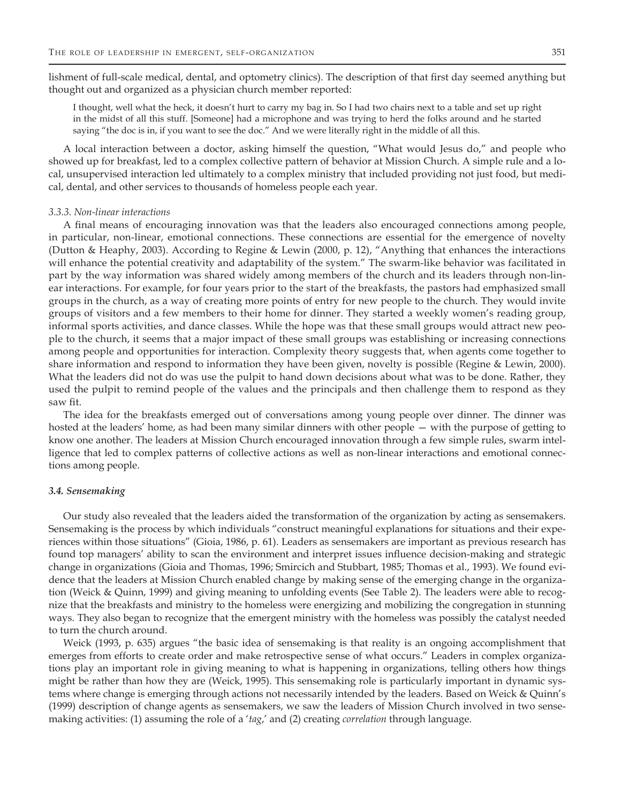lishment of full-scale medical, dental, and optometry clinics). The description of that first day seemed anything but thought out and organized as a physician church member reported:

I thought, well what the heck, it doesn't hurt to carry my bag in. So I had two chairs next to a table and set up right in the midst of all this stuff. [Someone] had a microphone and was trying to herd the folks around and he started saying "the doc is in, if you want to see the doc." And we were literally right in the middle of all this.

A local interaction between a doctor, asking himself the question, "What would Jesus do," and people who showed up for breakfast, led to a complex collective pattern of behavior at Mission Church. A simple rule and a local, unsupervised interaction led ultimately to a complex ministry that included providing not just food, but medical, dental, and other services to thousands of homeless people each year.

#### *3.3.3. Non-linear interactions*

A final means of encouraging innovation was that the leaders also encouraged connections among people, in particular, non-linear, emotional connections. These connections are essential for the emergence of novelty (Dutton & Heaphy, 2003). According to Regine & Lewin (2000, p. 12), "Anything that enhances the interactions will enhance the potential creativity and adaptability of the system." The swarm-like behavior was facilitated in part by the way information was shared widely among members of the church and its leaders through non-linear interactions. For example, for four years prior to the start of the breakfasts, the pastors had emphasized small groups in the church, as a way of creating more points of entry for new people to the church. They would invite groups of visitors and a few members to their home for dinner. They started a weekly women's reading group, informal sports activities, and dance classes. While the hope was that these small groups would attract new people to the church, it seems that a major impact of these small groups was establishing or increasing connections among people and opportunities for interaction. Complexity theory suggests that, when agents come together to share information and respond to information they have been given, novelty is possible (Regine & Lewin, 2000). What the leaders did not do was use the pulpit to hand down decisions about what was to be done. Rather, they used the pulpit to remind people of the values and the principals and then challenge them to respond as they saw fit.

The idea for the breakfasts emerged out of conversations among young people over dinner. The dinner was hosted at the leaders' home, as had been many similar dinners with other people — with the purpose of getting to know one another. The leaders at Mission Church encouraged innovation through a few simple rules, swarm intelligence that led to complex patterns of collective actions as well as non-linear interactions and emotional connections among people.

#### *3.4. Sensemaking*

Our study also revealed that the leaders aided the transformation of the organization by acting as sensemakers. Sensemaking is the process by which individuals "construct meaningful explanations for situations and their experiences within those situations" (Gioia, 1986, p. 61). Leaders as sensemakers are important as previous research has found top managers' ability to scan the environment and interpret issues influence decision-making and strategic change in organizations (Gioia and Thomas, 1996; Smircich and Stubbart, 1985; Thomas et al., 1993). We found evidence that the leaders at Mission Church enabled change by making sense of the emerging change in the organization (Weick & Quinn, 1999) and giving meaning to unfolding events (See Table 2). The leaders were able to recognize that the breakfasts and ministry to the homeless were energizing and mobilizing the congregation in stunning ways. They also began to recognize that the emergent ministry with the homeless was possibly the catalyst needed to turn the church around.

Weick (1993, p. 635) argues "the basic idea of sensemaking is that reality is an ongoing accomplishment that emerges from efforts to create order and make retrospective sense of what occurs." Leaders in complex organizations play an important role in giving meaning to what is happening in organizations, telling others how things might be rather than how they are (Weick, 1995). This sensemaking role is particularly important in dynamic systems where change is emerging through actions not necessarily intended by the leaders. Based on Weick & Quinn's (1999) description of change agents as sensemakers, we saw the leaders of Mission Church involved in two sensemaking activities: (1) assuming the role of a '*tag*,' and (2) creating *correlation* through language.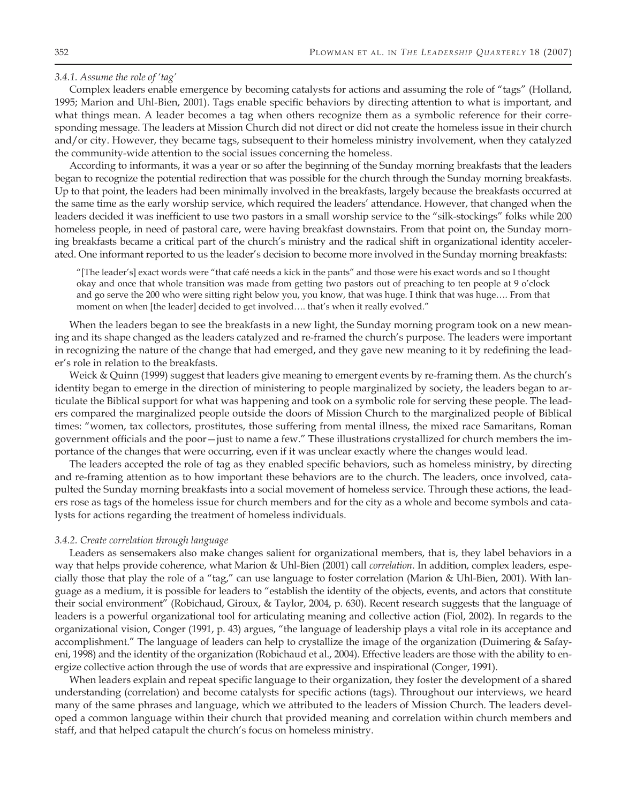### *3.4.1. Assume the role of 'tag'*

Complex leaders enable emergence by becoming catalysts for actions and assuming the role of "tags" (Holland, 1995; Marion and Uhl-Bien, 2001). Tags enable specific behaviors by directing attention to what is important, and what things mean. A leader becomes a tag when others recognize them as a symbolic reference for their corresponding message. The leaders at Mission Church did not direct or did not create the homeless issue in their church and/or city. However, they became tags, subsequent to their homeless ministry involvement, when they catalyzed the community-wide attention to the social issues concerning the homeless.

According to informants, it was a year or so after the beginning of the Sunday morning breakfasts that the leaders began to recognize the potential redirection that was possible for the church through the Sunday morning breakfasts. Up to that point, the leaders had been minimally involved in the breakfasts, largely because the breakfasts occurred at the same time as the early worship service, which required the leaders' attendance. However, that changed when the leaders decided it was inefficient to use two pastors in a small worship service to the "silk-stockings" folks while 200 homeless people, in need of pastoral care, were having breakfast downstairs. From that point on, the Sunday morning breakfasts became a critical part of the church's ministry and the radical shift in organizational identity accelerated. One informant reported to us the leader's decision to become more involved in the Sunday morning breakfasts:

"[The leader's] exact words were "that café needs a kick in the pants" and those were his exact words and so I thought okay and once that whole transition was made from getting two pastors out of preaching to ten people at 9 o'clock and go serve the 200 who were sitting right below you, you know, that was huge. I think that was huge…. From that moment on when [the leader] decided to get involved…. that's when it really evolved."

When the leaders began to see the breakfasts in a new light, the Sunday morning program took on a new meaning and its shape changed as the leaders catalyzed and re-framed the church's purpose. The leaders were important in recognizing the nature of the change that had emerged, and they gave new meaning to it by redefining the leader's role in relation to the breakfasts.

Weick & Quinn (1999) suggest that leaders give meaning to emergent events by re-framing them. As the church's identity began to emerge in the direction of ministering to people marginalized by society, the leaders began to articulate the Biblical support for what was happening and took on a symbolic role for serving these people. The leaders compared the marginalized people outside the doors of Mission Church to the marginalized people of Biblical times: "women, tax collectors, prostitutes, those suffering from mental illness, the mixed race Samaritans, Roman government officials and the poor—just to name a few." These illustrations crystallized for church members the importance of the changes that were occurring, even if it was unclear exactly where the changes would lead.

The leaders accepted the role of tag as they enabled specific behaviors, such as homeless ministry, by directing and re-framing attention as to how important these behaviors are to the church. The leaders, once involved, catapulted the Sunday morning breakfasts into a social movement of homeless service. Through these actions, the leaders rose as tags of the homeless issue for church members and for the city as a whole and become symbols and catalysts for actions regarding the treatment of homeless individuals.

### *3.4.2. Create correlation through language*

Leaders as sensemakers also make changes salient for organizational members, that is, they label behaviors in a way that helps provide coherence, what Marion & Uhl-Bien (2001) call *correlation*. In addition, complex leaders, especially those that play the role of a "tag," can use language to foster correlation (Marion & Uhl-Bien, 2001). With language as a medium, it is possible for leaders to "establish the identity of the objects, events, and actors that constitute their social environment" (Robichaud, Giroux, & Taylor, 2004, p. 630). Recent research suggests that the language of leaders is a powerful organizational tool for articulating meaning and collective action (Fiol, 2002). In regards to the organizational vision, Conger (1991, p. 43) argues, "the language of leadership plays a vital role in its acceptance and accomplishment." The language of leaders can help to crystallize the image of the organization (Duimering & Safayeni, 1998) and the identity of the organization (Robichaud et al., 2004). Effective leaders are those with the ability to energize collective action through the use of words that are expressive and inspirational (Conger, 1991).

When leaders explain and repeat specific language to their organization, they foster the development of a shared understanding (correlation) and become catalysts for specific actions (tags). Throughout our interviews, we heard many of the same phrases and language, which we attributed to the leaders of Mission Church. The leaders developed a common language within their church that provided meaning and correlation within church members and staff, and that helped catapult the church's focus on homeless ministry.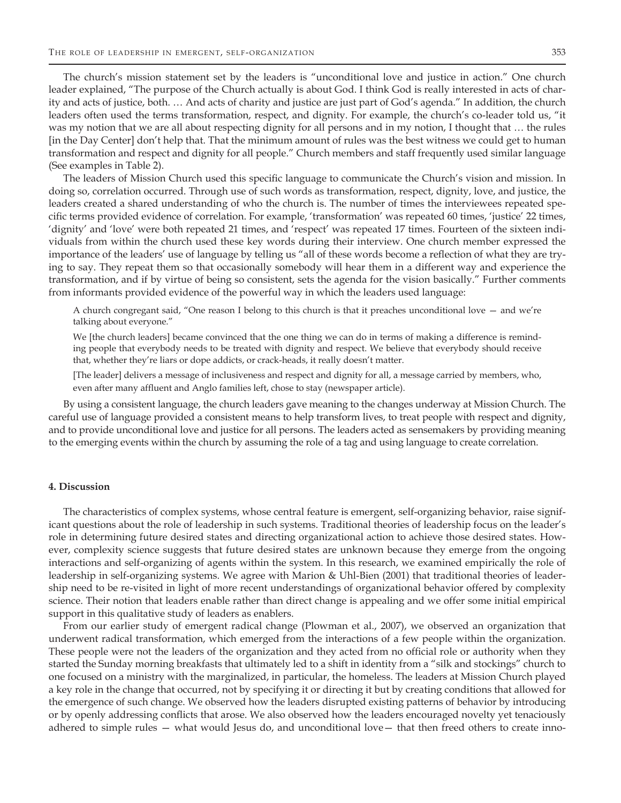The church's mission statement set by the leaders is "unconditional love and justice in action." One church leader explained, "The purpose of the Church actually is about God. I think God is really interested in acts of charity and acts of justice, both. … And acts of charity and justice are just part of God's agenda." In addition, the church leaders often used the terms transformation, respect, and dignity. For example, the church's co-leader told us, "it was my notion that we are all about respecting dignity for all persons and in my notion, I thought that … the rules [in the Day Center] don't help that. That the minimum amount of rules was the best witness we could get to human transformation and respect and dignity for all people." Church members and staff frequently used similar language (See examples in Table 2).

The leaders of Mission Church used this specific language to communicate the Church's vision and mission. In doing so, correlation occurred. Through use of such words as transformation, respect, dignity, love, and justice, the leaders created a shared understanding of who the church is. The number of times the interviewees repeated specific terms provided evidence of correlation. For example, 'transformation' was repeated 60 times, 'justice' 22 times, 'dignity' and 'love' were both repeated 21 times, and 'respect' was repeated 17 times. Fourteen of the sixteen individuals from within the church used these key words during their interview. One church member expressed the importance of the leaders' use of language by telling us "all of these words become a reflection of what they are trying to say. They repeat them so that occasionally somebody will hear them in a different way and experience the transformation, and if by virtue of being so consistent, sets the agenda for the vision basically." Further comments from informants provided evidence of the powerful way in which the leaders used language:

A church congregant said, "One reason I belong to this church is that it preaches unconditional love — and we're talking about everyone."

We [the church leaders] became convinced that the one thing we can do in terms of making a difference is reminding people that everybody needs to be treated with dignity and respect. We believe that everybody should receive that, whether they're liars or dope addicts, or crack-heads, it really doesn't matter.

[The leader] delivers a message of inclusiveness and respect and dignity for all, a message carried by members, who, even after many affluent and Anglo families left, chose to stay (newspaper article).

By using a consistent language, the church leaders gave meaning to the changes underway at Mission Church. The careful use of language provided a consistent means to help transform lives, to treat people with respect and dignity, and to provide unconditional love and justice for all persons. The leaders acted as sensemakers by providing meaning to the emerging events within the church by assuming the role of a tag and using language to create correlation.

# **4. Discussion**

The characteristics of complex systems, whose central feature is emergent, self-organizing behavior, raise significant questions about the role of leadership in such systems. Traditional theories of leadership focus on the leader's role in determining future desired states and directing organizational action to achieve those desired states. However, complexity science suggests that future desired states are unknown because they emerge from the ongoing interactions and self-organizing of agents within the system. In this research, we examined empirically the role of leadership in self-organizing systems. We agree with Marion & Uhl-Bien (2001) that traditional theories of leadership need to be re-visited in light of more recent understandings of organizational behavior offered by complexity science. Their notion that leaders enable rather than direct change is appealing and we offer some initial empirical support in this qualitative study of leaders as enablers.

From our earlier study of emergent radical change (Plowman et al., 2007), we observed an organization that underwent radical transformation, which emerged from the interactions of a few people within the organization. These people were not the leaders of the organization and they acted from no official role or authority when they started the Sunday morning breakfasts that ultimately led to a shift in identity from a "silk and stockings" church to one focused on a ministry with the marginalized, in particular, the homeless. The leaders at Mission Church played a key role in the change that occurred, not by specifying it or directing it but by creating conditions that allowed for the emergence of such change. We observed how the leaders disrupted existing patterns of behavior by introducing or by openly addressing conflicts that arose. We also observed how the leaders encouraged novelty yet tenaciously adhered to simple rules — what would Jesus do, and unconditional love— that then freed others to create inno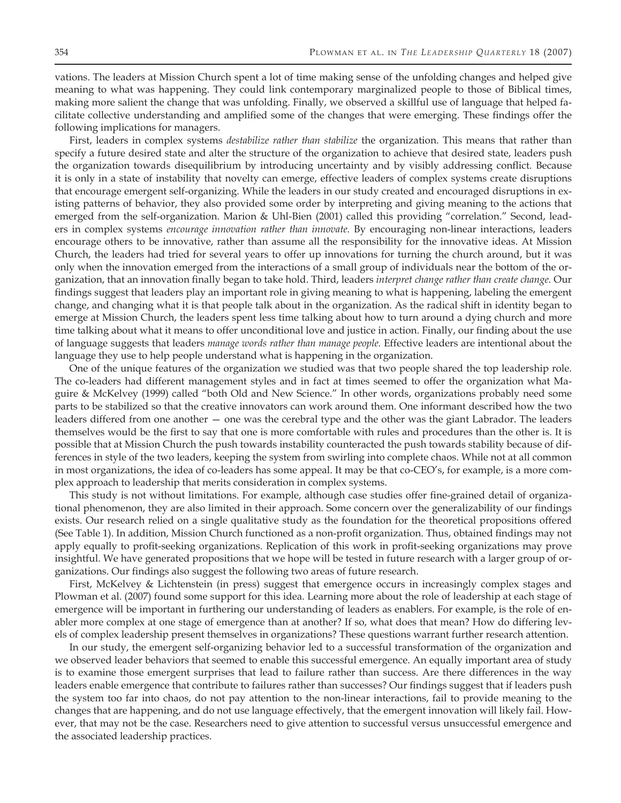vations. The leaders at Mission Church spent a lot of time making sense of the unfolding changes and helped give meaning to what was happening. They could link contemporary marginalized people to those of Biblical times, making more salient the change that was unfolding. Finally, we observed a skillful use of language that helped facilitate collective understanding and amplified some of the changes that were emerging. These findings offer the following implications for managers.

First, leaders in complex systems *destabilize rather than stabilize* the organization. This means that rather than specify a future desired state and alter the structure of the organization to achieve that desired state, leaders push the organization towards disequilibrium by introducing uncertainty and by visibly addressing conflict. Because it is only in a state of instability that novelty can emerge, effective leaders of complex systems create disruptions that encourage emergent self-organizing. While the leaders in our study created and encouraged disruptions in existing patterns of behavior, they also provided some order by interpreting and giving meaning to the actions that emerged from the self-organization. Marion & Uhl-Bien (2001) called this providing "correlation." Second, leaders in complex systems *encourage innovation rather than innovate.* By encouraging non-linear interactions, leaders encourage others to be innovative, rather than assume all the responsibility for the innovative ideas. At Mission Church, the leaders had tried for several years to offer up innovations for turning the church around, but it was only when the innovation emerged from the interactions of a small group of individuals near the bottom of the organization, that an innovation finally began to take hold. Third, leaders *interpret change rather than create change.* Our findings suggest that leaders play an important role in giving meaning to what is happening, labeling the emergent change, and changing what it is that people talk about in the organization. As the radical shift in identity began to emerge at Mission Church, the leaders spent less time talking about how to turn around a dying church and more time talking about what it means to offer unconditional love and justice in action. Finally, our finding about the use of language suggests that leaders *manage words rather than manage people.* Effective leaders are intentional about the language they use to help people understand what is happening in the organization.

One of the unique features of the organization we studied was that two people shared the top leadership role. The co-leaders had different management styles and in fact at times seemed to offer the organization what Maguire & McKelvey (1999) called "both Old and New Science." In other words, organizations probably need some parts to be stabilized so that the creative innovators can work around them. One informant described how the two leaders differed from one another — one was the cerebral type and the other was the giant Labrador. The leaders themselves would be the first to say that one is more comfortable with rules and procedures than the other is. It is possible that at Mission Church the push towards instability counteracted the push towards stability because of differences in style of the two leaders, keeping the system from swirling into complete chaos. While not at all common in most organizations, the idea of co-leaders has some appeal. It may be that co-CEO's, for example, is a more complex approach to leadership that merits consideration in complex systems.

This study is not without limitations. For example, although case studies offer fine-grained detail of organizational phenomenon, they are also limited in their approach. Some concern over the generalizability of our findings exists. Our research relied on a single qualitative study as the foundation for the theoretical propositions offered (See Table 1). In addition, Mission Church functioned as a non-profit organization. Thus, obtained findings may not apply equally to profit-seeking organizations. Replication of this work in profit-seeking organizations may prove insightful. We have generated propositions that we hope will be tested in future research with a larger group of organizations. Our findings also suggest the following two areas of future research.

First, McKelvey & Lichtenstein (in press) suggest that emergence occurs in increasingly complex stages and Plowman et al. (2007) found some support for this idea. Learning more about the role of leadership at each stage of emergence will be important in furthering our understanding of leaders as enablers. For example, is the role of enabler more complex at one stage of emergence than at another? If so, what does that mean? How do differing levels of complex leadership present themselves in organizations? These questions warrant further research attention.

In our study, the emergent self-organizing behavior led to a successful transformation of the organization and we observed leader behaviors that seemed to enable this successful emergence. An equally important area of study is to examine those emergent surprises that lead to failure rather than success. Are there differences in the way leaders enable emergence that contribute to failures rather than successes? Our findings suggest that if leaders push the system too far into chaos, do not pay attention to the non-linear interactions, fail to provide meaning to the changes that are happening, and do not use language effectively, that the emergent innovation will likely fail. However, that may not be the case. Researchers need to give attention to successful versus unsuccessful emergence and the associated leadership practices.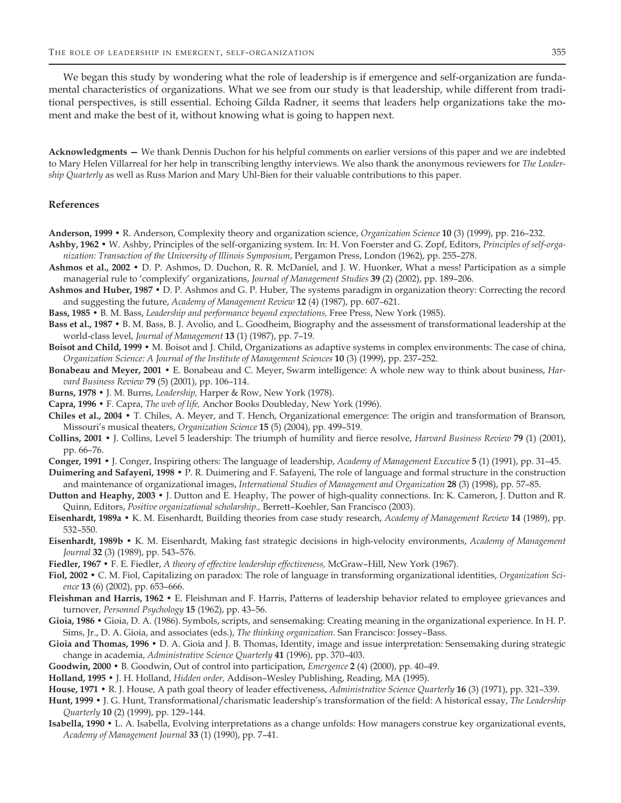We began this study by wondering what the role of leadership is if emergence and self-organization are fundamental characteristics of organizations. What we see from our study is that leadership, while different from traditional perspectives, is still essential. Echoing Gilda Radner, it seems that leaders help organizations take the moment and make the best of it, without knowing what is going to happen next.

**Acknowledgments —** We thank Dennis Duchon for his helpful comments on earlier versions of this paper and we are indebted to Mary Helen Villarreal for her help in transcribing lengthy interviews. We also thank the anonymous reviewers for *The Leadership Quarterly* as well as Russ Marion and Mary Uhl-Bien for their valuable contributions to this paper.

# **References**

**Anderson, 1999** • R. Anderson, Complexity theory and organization science, *Organization Science* **10** (3) (1999), pp. 216–232.

- **Ashby, 1962** W. Ashby, Principles of the self-organizing system. In: H. Von Foerster and G. Zopf, Editors, *Principles of self-organization: Transaction of the University of Illinois Symposium*, Pergamon Press, London (1962), pp. 255–278.
- **Ashmos et al., 2002** D. P. Ashmos, D. Duchon, R. R. McDaniel, and J. W. Huonker, What a mess! Participation as a simple managerial rule to 'complexify' organizations, *Journal of Management Studies* **39** (2) (2002), pp. 189–206.
- **Ashmos and Huber, 1987** D. P. Ashmos and G. P. Huber, The systems paradigm in organization theory: Correcting the record and suggesting the future, *Academy of Management Review* **12** (4) (1987), pp. 607–621.
- **Bass, 1985** B. M. Bass, *Leadership and performance beyond expectations,* Free Press, New York (1985).
- **Bass et al., 1987** B. M. Bass, B. J. Avolio, and L. Goodheim, Biography and the assessment of transformational leadership at the world-class level, *Journal of Management* **13** (1) (1987), pp. 7–19.

**Boisot and Child, 1999** • M. Boisot and J. Child, Organizations as adaptive systems in complex environments: The case of china, *Organization Science: A Journal of the Institute of Management Sciences* **10** (3) (1999), pp. 237–252.

- **Bonabeau and Meyer, 2001** E. Bonabeau and C. Meyer, Swarm intelligence: A whole new way to think about business, *Harvard Business Review* **79** (5) (2001), pp. 106–114.
- **Burns, 1978** J. M. Burns, *Leadership,* Harper & Row, New York (1978).

**Capra, 1996** • F. Capra, *The web of life,* Anchor Books Doubleday, New York (1996).

- **Chiles et al., 2004** T. Chiles, A. Meyer, and T. Hench, Organizational emergence: The origin and transformation of Branson, Missouri's musical theaters, *Organization Science* **15** (5) (2004), pp. 499–519.
- **Collins, 2001** J. Collins, Level 5 leadership: The triumph of humility and fierce resolve, *Harvard Business Review* **79** (1) (2001), pp. 66–76.
- **Conger, 1991** J. Conger, Inspiring others: The language of leadership, *Academy of Management Executive* **5** (1) (1991), pp. 31–45.
- **Duimering and Safayeni, 1998** P. R. Duimering and F. Safayeni, The role of language and formal structure in the construction and maintenance of organizational images, *International Studies of Management and Organization* **28** (3) (1998), pp. 57–85.
- **Dutton and Heaphy, 2003** J. Dutton and E. Heaphy, The power of high-quality connections. In: K. Cameron, J. Dutton and R. Quinn, Editors, *Positive organizational scholarship.,* Berrett–Koehler, San Francisco (2003).
- **Eisenhardt, 1989a** K. M. Eisenhardt, Building theories from case study research, *Academy of Management Review* **14** (1989), pp. 532–550.
- **Eisenhardt, 1989b** K. M. Eisenhardt, Making fast strategic decisions in high-velocity environments, *Academy of Management Journal* **32** (3) (1989), pp. 543–576.
- **Fiedler, 1967** F. E. Fiedler, *A theory of effective leadership effectiveness,* McGraw–Hill, New York (1967).
- **Fiol, 2002** C. M. Fiol, Capitalizing on paradox: The role of language in transforming organizational identities, *Organization Science* **13** (6) (2002), pp. 653–666.
- **Fleishman and Harris, 1962** E. Fleishman and F. Harris, Patterns of leadership behavior related to employee grievances and turnover, *Personnel Psychology* **15** (1962), pp. 43–56.
- **Gioia, 1986** Gioia, D. A. (1986). Symbols, scripts, and sensemaking: Creating meaning in the organizational experience. In H. P. Sims, Jr., D. A. Gioia, and associates (eds.), *The thinking organization.* San Francisco: Jossey–Bass.
- **Gioia and Thomas, 1996** D. A. Gioia and J. B. Thomas, Identity, image and issue interpretation: Sensemaking during strategic change in academia, *Administrative Science Quarterly* **41** (1996), pp. 370–403.
- **Goodwin, 2000** B. Goodwin, Out of control into participation, *Emergence* **2** (4) (2000), pp. 40–49.
- **Holland, 1995** J. H. Holland, *Hidden order,* Addison–Wesley Publishing, Reading, MA (1995).
- **House, 1971** R. J. House, A path goal theory of leader effectiveness, *Administrative Science Quarterly* **16** (3) (1971), pp. 321–339.
- **Hunt, 1999** J. G. Hunt, Transformational/charismatic leadership's transformation of the field: A historical essay, *The Leadership Quarterly* **10** (2) (1999), pp. 129–144.
- **Isabella, 1990** L. A. Isabella, Evolving interpretations as a change unfolds: How managers construe key organizational events, *Academy of Management Journal* **33** (1) (1990), pp. 7–41.